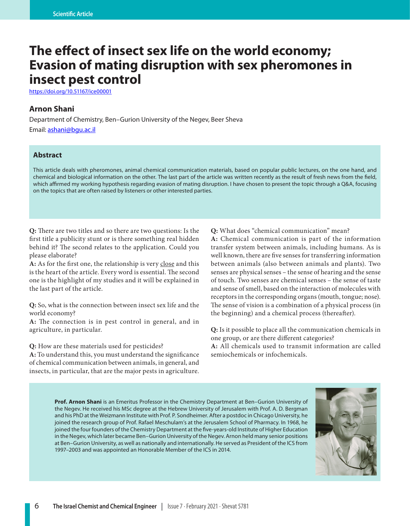# **The effect of insect sex life on the world economy; Evasion of mating disruption with sex pheromones in insect pest control**

https://doi.org/10.51167/ice00001

# **Arnon Shani**

Department of Chemistry, Ben–Gurion University of the Negev, Beer Sheva Email: ashani@bgu.ac.il

## **Abstract**

This article deals with pheromones, animal chemical communication materials, based on popular public lectures, on the one hand, and chemical and biological information on the other. The last part of the article was written recently as the result of fresh news from the field, which affirmed my working hypothesis regarding evasion of mating disruption. I have chosen to present the topic through a Q&A, focusing on the topics that are often raised by listeners or other interested parties.

**Q:** There are two titles and so there are two questions: Is the first title a publicity stunt or is there something real hidden behind it? The second relates to the application. Could you please elaborate?

**A:** As for the first one, the relationship is very close and this is the heart of the article. Every word is essential. The second one is the highlight of my studies and it will be explained in the last part of the article.

**Q:** So, what is the connection between insect sex life and the world economy?

**A:** The connection is in pest control in general, and in agriculture, in particular.

**Q:** How are these materials used for pesticides?

**A:** To understand this, you must understand the significance of chemical communication between animals, in general, and insects, in particular, that are the major pests in agriculture. **Q:** What does "chemical communication" mean?

**A:** Chemical communication is part of the information transfer system between animals, including humans. As is well known, there are five senses for transferring information between animals (also between animals and plants). Two senses are physical senses – the sense of hearing and the sense of touch. Two senses are chemical senses – the sense of taste and sense of smell, based on the interaction of molecules with receptors in the corresponding organs (mouth, tongue; nose). The sense of vision is a combination of a physical process (in the beginning) and a chemical process (thereafter).

**Q:** Is it possible to place all the communication chemicals in one group, or are there different categories? **A:** All chemicals used to transmit information are called semiochemicals or infochemicals.

**Prof. Arnon Shani** is an Emeritus Professor in the Chemistry Department at Ben–Gurion University of the Negev. He received his MSc degree at the Hebrew University of Jerusalem with Prof. A. D. Bergman and his PhD at the Weizmann Institute with Prof. P. Sondheimer. After a postdoc in Chicago University, he joined the research group of Prof. Rafael Meschulam's at the Jerusalem School of Pharmacy. In 1968, he joined the four founders of the Chemistry Department at the five-years-old Institute of Higher Education in the Negev, which later became Ben–Gurion University of the Negev. Arnon held many senior positions at Ben–Gurion University, as well as nationally and internationally. He served as President of the ICS from 1997–2003 and was appointed an Honorable Member of the ICS in 2014.

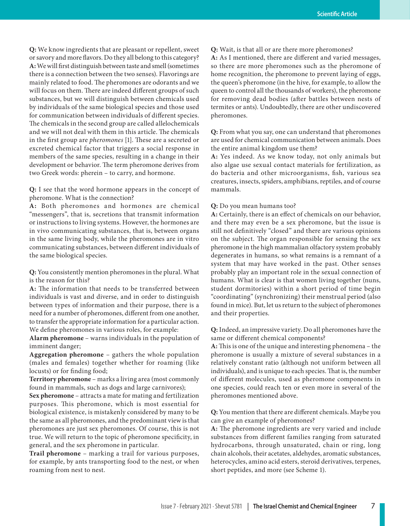**Q:** We know ingredients that are pleasant or repellent, sweet or savory and more flavors. Do they all belong to this category? **A:** We will first distinguish between taste and smell (sometimes there is a connection between the two senses). Flavorings are mainly related to food. The pheromones are odorants and we will focus on them. There are indeed different groups of such substances, but we will distinguish between chemicals used by individuals of the same biological species and those used for communication between individuals of different species. The chemicals in the second group are called allelochemicals and we will not deal with them in this article. The chemicals in the first group are *pheromones* [1]. These are a secreted or excreted chemical factor that triggers a social response in members of the same species, resulting in a change in their development or behavior. The term pheromone derives from two Greek words: pherein – to carry, and hormone.

**Q:** I see that the word hormone appears in the concept of pheromone. What is the connection?

**A:** Both pheromones and hormones are chemical "messengers", that is, secretions that transmit information or instructions to living systems. However, the hormones are in vivo communicating substances, that is, between organs in the same living body, while the pheromones are in vitro communicating substances, between different individuals of the same biological species.

**Q:** You consistently mention pheromones in the plural. What is the reason for this?

**A:** The information that needs to be transferred between individuals is vast and diverse, and in order to distinguish between types of information and their purpose, there is a need for a number of pheromones, different from one another, to transfer the appropriate information for a particular action. We define pheromones in various roles, for example:

**Alarm pheromone** – warns individuals in the population of imminent danger;

**Aggregation pheromone** – gathers the whole population (males and females) together whether for roaming (like locusts) or for finding food;

**Territory pheromone** – marks a living area (most commonly found in mammals, such as dogs and large carnivores);

**Sex pheromone** – attracts a mate for mating and fertilization purposes. This pheromone, which is most essential for biological existence, is mistakenly considered by many to be the same as all pheromones, and the predominant view is that pheromones are just sex pheromones. Of course, this is not true. We will return to the topic of pheromone specificity, in general, and the sex pheromone in particular.

**Trail pheromone** – marking a trail for various purposes, for example, by ants transporting food to the nest, or when roaming from nest to nest.

**Q:** Wait, is that all or are there more pheromones?

**A:** As I mentioned, there are different and varied messages, so there are more pheromones such as the pheromone of home recognition, the pheromone to prevent laying of eggs, the queen's pheromone (in the hive, for example, to allow the queen to control all the thousands of workers), the pheromone for removing dead bodies (after battles between nests of termites or ants). Undoubtedly, there are other undiscovered pheromones.

**Q:** From what you say, one can understand that pheromones are used for chemical communication between animals. Does the entire animal kingdom use them?

**A:** Yes indeed. As we know today, not only animals but also algae use sexual contact materials for fertilization, as do bacteria and other microorganisms, fish, various sea creatures, insects, spiders, amphibians, reptiles, and of course mammals.

#### **Q:** Do you mean humans too?

**A:** Certainly, there is an effect of chemicals on our behavior, and there may even be a sex pheromone, but the issue is still not definitively "closed" and there are various opinions on the subject. The organ responsible for sensing the sex pheromone in the high mammalian olfactory system probably degenerates in humans, so what remains is a remnant of a system that may have worked in the past. Other senses probably play an important role in the sexual connection of humans. What is clear is that women living together (nuns, student dormitories) within a short period of time begin "coordinating" (synchronizing) their menstrual period (also found in mice). But, let us return to the subject of pheromones and their properties.

**Q:** Indeed, an impressive variety. Do all pheromones have the same or different chemical components?

**A:** This is one of the unique and interesting phenomena – the pheromone is usually a mixture of several substances in a relatively constant ratio (although not uniform between all individuals), and is unique to each species. That is, the number of different molecules, used as pheromone components in one species, could reach ten or even more in several of the pheromones mentioned above.

**Q:** You mention that there are different chemicals. Maybe you can give an example of pheromones?

**A:** The pheromone ingredients are very varied and include substances from different families ranging from saturated hydrocarbons, through unsaturated, chain or ring, long chain alcohols, their acetates, aldehydes, aromatic substances, heterocycles, amino acid esters, steroid derivatives, terpenes, short peptides, and more (see Scheme 1).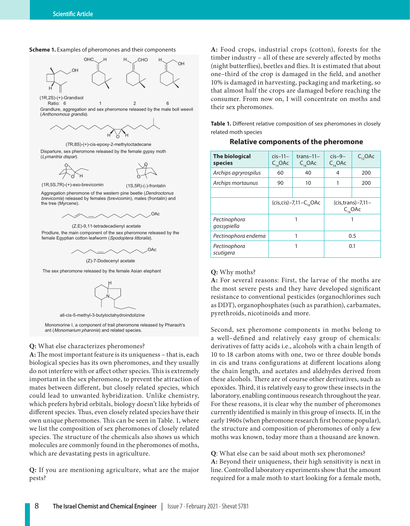



(1R,2S)-(+)-Grandisol

Grandlure, aggregation and sex pheromone released by the male boll weevil (Anthonomous grandis). Ratio: 6 1 2 6



(7R,8S)-(+)-cis-epoxy-2-methyloctadecane

Disparlure, sex pheromone released by the female gypsy moth (Lymantria dispar).



(1R,5S,7R)-(+)-exo-brevicomin (1S,5R)-(-)-frontalin

Aggregation pheromone of the western pine beetle (Dendroctonus brevicomis) released by females (brevicomin), males (frontalin) and the tree (Myrcene).



(Z,E)-9,11-tetradecadienyl acetate Prodlure, the main component of the sex pheromone released by the female Egyptian cotton leafworm (Spodoptera littoralis).





The sex pheromone released by the female Asian elephant



Monomorine I, a component of trail pheromone released by Pharaoh's ant (Monomarium pharonis) and related species.

#### **Q:** What else characterizes pheromones?

**A:** The most important feature is its uniqueness – that is, each biological species has its own pheromones, and they usually do not interfere with or affect other species. This is extremely important in the sex pheromone, to prevent the attraction of mates between different, but closely related species, which could lead to unwanted hybridization. Unlike chemistry, which prefers hybrid orbitals, biology doesn't like hybrids of different species. Thus, even closely related species have their own unique pheromones. This can be seen in Table. 1, where we list the composition of sex pheromones of closely related species. The structure of the chemicals also shows us which molecules are commonly found in the pheromones of moths, which are devastating pests in agriculture.

**Q:** If you are mentioning agriculture, what are the major pests?

**A:** Food crops, industrial crops (cotton), forests for the timber industry – all of these are severely affected by moths (night butterflies), beetles and flies. It is estimated that about one–third of the crop is damaged in the field, and another 10% is damaged in harvesting, packaging and marketing, so that almost half the crops are damaged before reaching the consumer. From now on, I will concentrate on moths and their sex pheromones.

**Table 1.** Different relative composition of sex pheromones in closely related moth species

## **Relative components of the pheromone**

| <b>The biological</b><br>species | $cis-11-$<br>$C_{14}$ OAc         | $trans-11-$<br>$C_{14}$ OAc | $cis-9-$<br>$C_{14}$ OAc                | $C_{12}$ OAc |
|----------------------------------|-----------------------------------|-----------------------------|-----------------------------------------|--------------|
| Archips agryrospilus             | 60                                | 40                          | 4                                       | 200          |
| Archips mortaunus                | 90                                | 10                          | 1                                       | 200          |
|                                  |                                   |                             |                                         |              |
|                                  | $(cis, cis) - 7, 11 - C_{16}$ OAc |                             | $(cis, trans) - 7,11 -$<br>$C_{16}$ OAc |              |
| Pectinophora<br>gossypiella      | 1                                 |                             |                                         |              |
| Pectinophora endema              | 1                                 |                             | 0.5                                     |              |
| Pectinophora<br>scutigera        | 1                                 |                             | 0.1                                     |              |

#### **Q:** Why moths?

**A:** For several reasons: First, the larvae of the moths are the most severe pests and they have developed significant resistance to conventional pesticides (organochlorines such as DDT), organophosphates (such as parathion), carbamates, pyrethroids, nicotinoids and more.

Second, sex pheromone components in moths belong to a well–defined and relatively easy group of chemicals: derivatives of fatty acids i.e., alcohols with a chain length of 10 to 18 carbon atoms with one, two or three double bonds in cis and trans configurations at different locations along the chain length, and acetates and aldehydes derived from these alcohols. There are of course other derivatives, such as epoxides. Third, it is relatively easy to grow these insects in the laboratory, enabling continuous research throughout the year. For these reasons, it is clear why the number of pheromones currently identified is mainly in this group of insects. If, in the early 1960s (when pheromone research first become popular), the structure and composition of pheromones of only a few moths was known, today more than a thousand are known.

**Q**: What else can be said about moth sex pheromones? **A:** Beyond their uniqueness, their high sensitivity is next in line. Controlled laboratory experiments show that the amount required for a male moth to start looking for a female moth,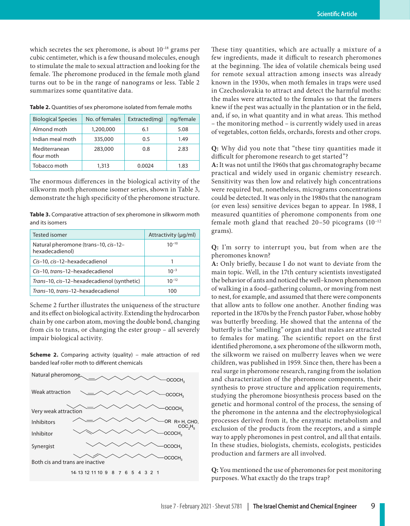which secretes the sex pheromone, is about 10–18 grams per cubic centimeter, which is a few thousand molecules, enough to stimulate the male to sexual attraction and looking for the female. The pheromone produced in the female moth gland turns out to be in the range of nanograms or less. Table 2 summarizes some quantitative data.

| <b>Biological Species</b>   | No. of females | Extracted(mg) | ng/female |
|-----------------------------|----------------|---------------|-----------|
| Almond moth                 | 1,200,000      | 6.1           | 5.08      |
| Indian meal moth            | 335,000        | 0.5           | 1.49      |
| Mediterranean<br>flour moth | 283,000        | 0.8           | 2.83      |
| Tobacco moth                | 1,313          | 0.0024        | 1.83      |

**Table 2.** Quantities of sex pheromone isolated from female moths

The enormous differences in the biological activity of the silkworm moth pheromone isomer series, shown in Table 3, demonstrate the high specificity of the pheromone structure.

**Table 3.** Comparative attraction of sex pheromone in silkworm moth and its isomers

| Tested isomer                                           | Attractivity (µg/ml) |
|---------------------------------------------------------|----------------------|
| Natural pheromone (trans-10, cis-12-<br>hexadecadienol) | $10^{-10}$           |
| Cis-10, cis-12-hexadecadienol                           |                      |
| Cis-10, trans-12-hexadecadienol                         | $10^{-3}$            |
| Trans-10, cis-12-hexadecadienol (synthetic)             | $10^{-12}$           |
| Trans-10, trans-12-hexadecadienol                       | າດດ                  |

Scheme 2 further illustrates the uniqueness of the structure and its effect on biological activity. Extending the hydrocarbon chain by one carbon atom, moving the double bond, changing from cis to trans, or changing the ester group – all severely impair biological activity.

**Scheme 2.** Comparing activity (quality) – male attraction of red banded leaf roller moth to different chemicals



These tiny quantities, which are actually a mixture of a few ingredients, made it difficult to research pheromones at the beginning. The idea of volatile chemicals being used for remote sexual attraction among insects was already known in the 1930s, when moth females in traps were used in Czechoslovakia to attract and detect the harmful moths: the males were attracted to the females so that the farmers knew if the pest was actually in the plantation or in the field, and, if so, in what quantity and in what areas. This method – the monitoring method – is currently widely used in areas of vegetables, cotton fields, orchards, forests and other crops.

**Q:** Why did you note that "these tiny quantities made it difficult for pheromone research to get started"?

**A:** It was not until the 1960s that gas chromatography became practical and widely used in organic chemistry research. Sensitivity was then low and relatively high concentrations were required but, nonetheless, micrograms concentrations could be detected. It was only in the 1980s that the nanogram (or even less) sensitive devices began to appear. In 1988, I measured quantities of pheromone components from one female moth gland that reached  $20-50$  picograms  $(10^{-12})$ grams).

**Q:** I'm sorry to interrupt you, but from when are the pheromones known?

**A:** Only briefly, because I do not want to deviate from the main topic. Well, in the 17th century scientists investigated the behavior of ants and noticed the well–known phenomenon of walking in a food–gathering column, or moving from nest to nest, for example, and assumed that there were components that allow ants to follow one another. Another finding was reported in the 1870s by the French pastor Faber, whose hobby was butterfly breeding. He showed that the antenna of the butterfly is the "smelling" organ and that males are attracted to females for mating. The scientific report on the first identified pheromone, a sex pheromone of the silkworm moth, the silkworm we raised on mulberry leaves when we were children, was published in 1959. Since then, there has been a real surge in pheromone research, ranging from the isolation and characterization of the pheromone components, their synthesis to prove structure and application requirements, studying the pheromone biosynthesis process based on the genetic and hormonal control of the process, the sensing of the pheromone in the antenna and the electrophysiological processes derived from it, the enzymatic metabolism and exclusion of the products from the receptors, and a simple way to apply pheromones in pest control, and all that entails. In these studies, biologists, chemists, ecologists, pesticides production and farmers are all involved.

**Q:** You mentioned the use of pheromones for pest monitoring purposes. What exactly do the traps trap?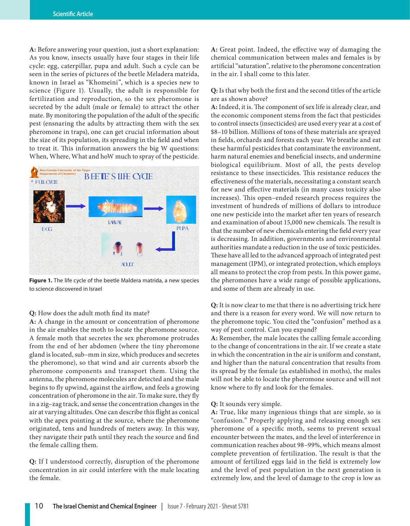**A:** Before answering your question, just a short explanation: As you know, insects usually have four stages in their life cycle: egg, caterpillar, pupa and adult. Such a cycle can be seen in the series of pictures of the beetle Meladera matrida, known in Israel as "Khomeini", which is a species new to science (Figure 1). Usually, the adult is responsible for fertilization and reproduction, so the sex pheromone is secreted by the adult (male or female) to attract the other mate. By monitoring the population of the adult of the specific pest (ensnaring the adults by attracting them with the sex pheromone in traps), one can get crucial information about the size of its population, its spreading in the field and when to treat it. This information answers the big W questions: When, Where, What and hoW much to spray of the pesticide.



**Figure 1.** The life cycle of the beetle Maldera matrida, a new species to science discovered in Israel

## **Q:** How does the adult moth find its mate?

**A:** A change in the amount or concentration of pheromone in the air enables the moth to locate the pheromone source. A female moth that secretes the sex pheromone protrudes from the end of her abdomen (where the tiny pheromone gland is located, sub–mm in size, which produces and secretes the pheromone), so that wind and air currents absorb the pheromone components and transport them. Using the antenna, the pheromone molecules are detected and the male begins to fly upwind, against the airflow, and feels a growing concentration of pheromone in the air. To make sure, they fly in a zig–zag track, and sense the concentration changes in the air at varying altitudes. One can describe this flight as conical with the apex pointing at the source, where the pheromone originated, tens and hundreds of meters away. In this way, they navigate their path until they reach the source and find the female calling them.

**Q:** If I understood correctly, disruption of the pheromone concentration in air could interfere with the male locating the female.

**A:** Great point. Indeed, the effective way of damaging the chemical communication between males and females is by artificial "saturation", relative to the pheromone concentration in the air. I shall come to this later.

**Q:** Is that why both the first and the second titles of the article are as shown above?

**A:** Indeed, it is. The component of sex life is already clear, and the economic component stems from the fact that pesticides to control insects (insecticides) are used every year at a cost of \$8–10 billion. Millions of tons of these materials are sprayed in fields, orchards and forests each year. We breathe and eat these harmful pesticides that contaminate the environment, harm natural enemies and beneficial insects, and undermine biological equilibrium. Most of all, the pests develop resistance to these insecticides. This resistance reduces the effectiveness of the materials, necessitating a constant search for new and effective materials (in many cases toxicity also increases). This open–ended research process requires the investment of hundreds of millions of dollars to introduce one new pesticide into the market after ten years of research and examination of about 15,000 new chemicals. The result is that the number of new chemicals entering the field every year is decreasing. In addition, governments and environmental authorities mandate a reduction in the use of toxic pesticides. These have all led to the advanced approach of integrated pest management (IPM), or integrated protection, which employs all means to protect the crop from pests. In this power game, the pheromones have a wide range of possible applications, and some of them are already in use.

**Q:** It is now clear to me that there is no advertising trick here and there is a reason for every word. We will now return to the pheromone topic. You cited the "confusion" method as a way of pest control. Can you expand?

**A:** Remember, the male locates the calling female according to the change of concentrations in the air. If we create a state in which the concentration in the air is uniform and constant, and higher than the natural concentration that results from its spread by the female (as established in moths), the males will not be able to locate the pheromone source and will not know where to fly and look for the females.

### **Q:** It sounds very simple.

**A:** True, like many ingenious things that are simple, so is "confusion." Properly applying and releasing enough sex pheromone of a specific moth, seems to prevent sexual encounter between the mates, and the level of interference in communication reaches about 98–99%, which means almost complete prevention of fertilization. The result is that the amount of fertilized eggs laid in the field is extremely low and the level of pest population in the next generation is extremely low, and the level of damage to the crop is low as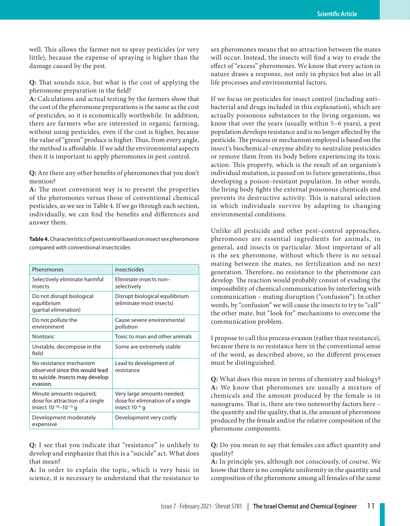well. This allows the farmer not to spray pesticides (or very little), because the expense of spraying is higher than the damage caused by the pest.

**Q:** That sounds nice, but what is the cost of applying the pheromone preparation in the field?

**A:** Calculations and actual testing by the farmers show that the cost of the pheromone preparations is the same as the cost of pesticides, so it is economically worthwhile. In addition, there are farmers who are interested in organic farming, without using pesticides, even if the cost is higher, because the value of "green" produce is higher. Thus, from every angle, the method is affordable. If we add the environmental aspects then it is important to apply pheromones in pest control.

**Q:** Are there any other benefits of pheromones that you don't mention?

**A:** The most convenient way is to present the properties of the pheromones versus those of conventional chemical pesticides, as we see in Table 4. If we go through each section, individually, we can find the benefits and differences and answer them.

**Table 4.** Characteristics of pest control based on insect sex pheromone compared with conventional insecticides

| Pheromones                                                                                                   | Insecticides                                                                         |
|--------------------------------------------------------------------------------------------------------------|--------------------------------------------------------------------------------------|
| Selectively eliminate harmful<br>insects                                                                     | Eliminate insects non-<br>selectively                                                |
| Do not disrupt biological<br>equilibrium<br>(partial elimination)                                            | Disrupt biological equilibrium<br>(eliminate most insects)                           |
| Do not pollute the<br>environment                                                                            | Cause severe environmental<br>pollution                                              |
| Nontoxic                                                                                                     | Toxic to man and other animals                                                       |
| Unstable, decompose in the<br>field                                                                          | Some are extremely stable                                                            |
| No resistance mechanism<br>observed since this would lead<br>to suicide. Insects may develop<br>evasion.     | Lead to development of<br>resistance                                                 |
| Minute amounts required;<br>dose for attraction of a single<br>insect 10 <sup>-18</sup> -10 <sup>-15</sup> q | Very large amounts needed;<br>dose for elimination of a single<br>insect $10^{-6}$ q |
| Development moderately<br>expensive                                                                          | Development very costly                                                              |

**Q:** I see that you indicate that "resistance" is unlikely to develop and emphasize that this is a "suicide" act. What does that mean?

**A:** In order to explain the topic, which is very basic in science, it is necessary to understand that the resistance to sex pheromones means that no attraction between the mates will occur. Instead, the insects will find a way to evade the effect of "excess" pheromones. We know that every action in nature draws a response, not only in physics but also in all life processes and environmental factors.

If we focus on pesticides for insect control (including anti– bacterial and drugs included in this explanation), which are actually poisonous substances to the living organism, we know that over the years (usually within 5–6 years), a pest population develops resistance and is no longer affected by the pesticide. The process or mechanism employed is based on the insect's biochemical–enzyme ability to neutralize pesticides or remove them from its body before experiencing its toxic action. This property, which is the result of an organism's individual mutation, is passed on to future generations, thus developing a poison–resistant population. In other words, the living body fights the external poisonous chemicals and prevents its destructive activity. This is natural selection in which individuals survive by adapting to changing environmental conditions.

Unlike all pesticide and other pest–control approaches, pheromones are essential ingredients for animals, in general, and insects in particular. Most important of all is the sex pheromone, without which there is no sexual mating between the mates, no fertilization and no next generation. Therefore, no resistance to the pheromone can develop. The reaction would probably consist of evading the impossibility of chemical communication by interfering with communication – mating disruption ("confusion"). In other words, by "confusion" we will cause the insects to try to "call" the other mate, but "look for" mechanisms to overcome the communication problem.

I propose to call this process evasion (rather than resistance), because there is no resistance here in the conventional sense of the word, as described above, so the different processes must be distinguished.

**Q:** What does this mean in terms of chemistry and biology? **A:** We know that pheromones are usually a mixture of chemicals and the amount produced by the female is in nanograms. That is, there are two noteworthy factors here – the quantity and the quality, that is, the amount of pheromone produced by the female and/or the relative composition of the pheromone components.

**Q:** Do you mean to say that females can affect quantity and quality?

**A:** In principle yes, although not consciously, of course. We know that there is no complete uniformity in the quantity and composition of the pheromone among all females of the same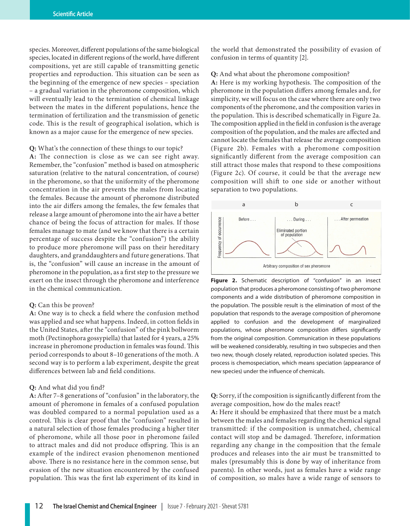species. Moreover, different populations of the same biological species, located in different regions of the world, have different compositions, yet are still capable of transmitting genetic properties and reproduction. This situation can be seen as the beginning of the emergence of new species – speciation – a gradual variation in the pheromone composition, which will eventually lead to the termination of chemical linkage between the mates in the different populations, hence the termination of fertilization and the transmission of genetic code. This is the result of geographical isolation, which is known as a major cause for the emergence of new species.

**Q:** What's the connection of these things to our topic?

**A:** The connection is close as we can see right away. Remember, the "confusion" method is based on atmospheric saturation (relative to the natural concentration, of course) in the pheromone, so that the uniformity of the pheromone concentration in the air prevents the males from locating the females. Because the amount of pheromone distributed into the air differs among the females, the few females that release a large amount of pheromone into the air have a better chance of being the focus of attraction for males. If those females manage to mate (and we know that there is a certain percentage of success despite the "confusion") the ability to produce more pheromone will pass on their hereditary daughters, and granddaughters and future generations. That is, the "confusion" will cause an increase in the amount of pheromone in the population, as a first step to the pressure we exert on the insect through the pheromone and interference in the chemical communication.

#### **Q:** Can this be proven?

**A:** One way is to check a field where the confusion method was applied and see what happens. Indeed, in cotton fields in the United States, after the "confusion" of the pink bollworm moth (Pectinophora gossypiella) that lasted for 4 years, a 25% increase in pheromone production in females was found. This period corresponds to about 8–10 generations of the moth. A second way is to perform a lab experiment, despite the great differences between lab and field conditions.

#### **Q:** And what did you find?

**A:** After 7–8 generations of "confusion" in the laboratory, the amount of pheromone in females of a confused population was doubled compared to a normal population used as a control. This is clear proof that the "confusion" resulted in a natural selection of those females producing a higher titer of pheromone, while all those poor in pheromone failed to attract males and did not produce offspring. This is an example of the indirect evasion phenomenon mentioned above. There is no resistance here in the common sense, but evasion of the new situation encountered by the confused population. This was the first lab experiment of its kind in the world that demonstrated the possibility of evasion of confusion in terms of quantity [2].

## **Q:** And what about the pheromone composition?

**A:** Here is my working hypothesis. The composition of the pheromone in the population differs among females and, for simplicity, we will focus on the case where there are only two components of the pheromone, and the composition varies in the population. This is described schematically in Figure 2a. The composition applied in the field in confusion is the average composition of the population, and the males are affected and cannot locate the females that release the average composition (Figure 2b). Females with a pheromone composition significantly different from the average composition can still attract those males that respond to these compositions (Figure 2c). Of course, it could be that the average new composition will shift to one side or another without separation to two populations.



**Figure 2.** Schematic description of "confusion" in an insect population that produces a pheromone consisting of two pheromone components and a wide distribution of pheromone composition in the population. The possible result is the elimination of most of the population that responds to the average composition of pheromone applied to confusion and the development of marginalized populations, whose pheromone composition differs significantly from the original composition. Communication in these populations will be weakened considerably, resulting in two subspecies and then two new, though closely related, reproduction isolated species. This process is chemospeciation, which means speciation (appearance of new species) under the influence of chemicals.

## **Q:** Sorry, if the composition is significantly different from the average composition, how do the males react?

**A:** Here it should be emphasized that there must be a match between the males and females regarding the chemical signal transmitted: if the composition is unmatched, chemical contact will stop and be damaged. Therefore, information regarding any change in the composition that the female produces and releases into the air must be transmitted to males (presumably this is done by way of inheritance from parents). In other words, just as females have a wide range of composition, so males have a wide range of sensors to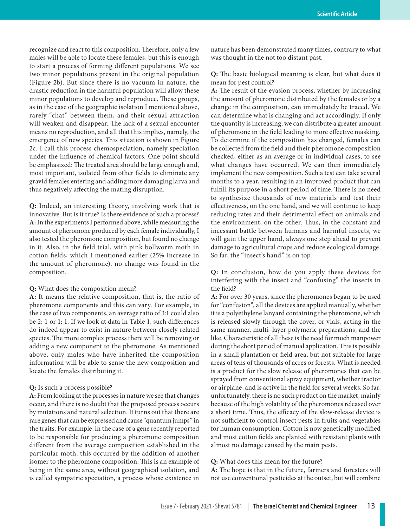recognize and react to this composition. Therefore, only a few males will be able to locate these females, but this is enough to start a process of forming different populations. We see two minor populations present in the original population (Figure 2b). But since there is no vacuum in nature, the drastic reduction in the harmful population will allow these minor populations to develop and reproduce. These groups, as in the case of the geographic isolation I mentioned above, rarely "chat" between them, and their sexual attraction will weaken and disappear. The lack of a sexual encounter means no reproduction, and all that this implies, namely, the emergence of new species. This situation is shown in Figure 2c. I call this process chemospeciation, namely speciation under the influence of chemical factors. One point should be emphasized: The treated area should be large enough and, most important, isolated from other fields to eliminate any gravid females entering and adding more damaging larva and thus negatively affecting the mating disruption.

**Q:** Indeed, an interesting theory, involving work that is innovative. But is it true? Is there evidence of such a process? **A:** In the experiments I performed above, while measuring the amount of pheromone produced by each female individually, I also tested the pheromone composition, but found no change in it. Also, in the field trial, with pink bollworm moth in cotton fields, which I mentioned earlier (25% increase in the amount of pheromone), no change was found in the composition.

#### **Q:** What does the composition mean?

**A:** It means the relative composition, that is, the ratio of pheromone components and this can vary. For example, in the case of two components, an average ratio of 3:1 could also be 2: 1 or 1: 1. If we look at data in Table 1, such differences do indeed appear to exist in nature between closely related species. The more complex process there will be removing or adding a new component to the pheromone. As mentioned above, only males who have inherited the composition information will be able to sense the new composition and locate the females distributing it.

#### **Q:** Is such a process possible?

**A:** From looking at the processes in nature we see that changes occur, and there is no doubt that the proposed process occurs by mutations and natural selection. It turns out that there are rare genes that can be expressed and cause "quantum jumps" in the traits. For example, in the case of a gene recently reported to be responsible for producing a pheromone composition different from the average composition established in the particular moth, this occurred by the addition of another isomer to the pheromone composition. This is an example of being in the same area, without geographical isolation, and is called sympatric speciation, a process whose existence in

nature has been demonstrated many times, contrary to what was thought in the not too distant past.

**Q:** The basic biological meaning is clear, but what does it mean for pest control?

**A:** The result of the evasion process, whether by increasing the amount of pheromone distributed by the females or by a change in the composition, can immediately be traced. We can determine what is changing and act accordingly. If only the quantity is increasing, we can distribute a greater amount of pheromone in the field leading to more effective masking. To determine if the composition has changed, females can be collected from the field and their pheromone composition checked, either as an average or in individual cases, to see what changes have occurred. We can then immediately implement the new composition. Such a test can take several months to a year, resulting in an improved product that can fulfill its purpose in a short period of time. There is no need to synthesize thousands of new materials and test their effectiveness, on the one hand, and we will continue to keep reducing rates and their detrimental effect on animals and the environment, on the other. Thus, in the constant and incessant battle between humans and harmful insects, we will gain the upper hand, always one step ahead to prevent damage to agricultural crops and reduce ecological damage. So far, the "insect's hand" is on top.

**Q:** In conclusion, how do you apply these devices for interfering with the insect and "confusing" the insects in the field?

**A:** For over 30 years, since the pheromones began to be used for "confusion", all the devices are applied manually, whether it is a polyethylene lanyard containing the pheromone, which is released slowly through the cover, or vials, acting in the same manner, multi–layer polymeric preparations, and the like. Characteristic of all these is the need for much manpower during the short period of manual application. This is possible in a small plantation or field area, but not suitable for large areas of tens of thousands of acres or forests. What is needed is a product for the slow release of pheromones that can be sprayed from conventional spray equipment, whether tractor or airplane, and is active in the field for several weeks. So far, unfortunately, there is no such product on the market, mainly because of the high volatility of the pheromones released over a short time. Thus, the efficacy of the slow-release device is not sufficient to control insect pests in fruits and vegetables for human consumption. Cotton is now genetically modified and most cotton fields are planted with resistant plants with almost no damage caused by the main pests.

## **Q:** What does this mean for the future?

**A:** The hope is that in the future, farmers and foresters will not use conventional pesticides at the outset, but will combine